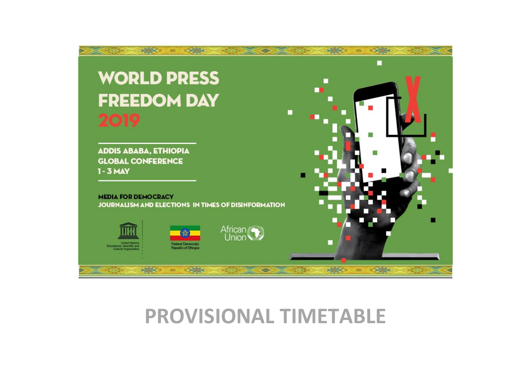

# **PROVISIONAL TIMETABLE**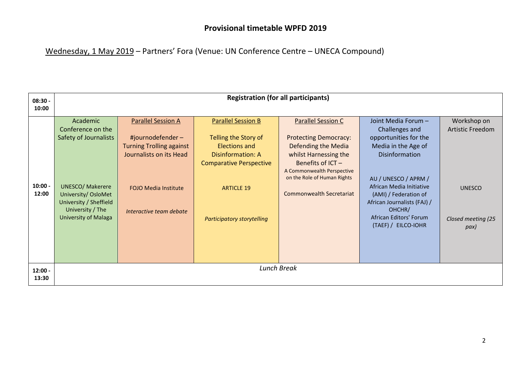Wednesday, 1 May 2019 – Partners' Fora (Venue: UN Conference Centre – UNECA Compound)

| $08:30 -$          | <b>Registration (for all participants)</b>                                                                                                                                            |                                                                                                                                                                       |                                                                                                                                                                                            |                                                                                                                                                                                                                         |                                                                                                                                                                                                                                                                                       |                                                                                       |
|--------------------|---------------------------------------------------------------------------------------------------------------------------------------------------------------------------------------|-----------------------------------------------------------------------------------------------------------------------------------------------------------------------|--------------------------------------------------------------------------------------------------------------------------------------------------------------------------------------------|-------------------------------------------------------------------------------------------------------------------------------------------------------------------------------------------------------------------------|---------------------------------------------------------------------------------------------------------------------------------------------------------------------------------------------------------------------------------------------------------------------------------------|---------------------------------------------------------------------------------------|
| 10:00              |                                                                                                                                                                                       |                                                                                                                                                                       |                                                                                                                                                                                            |                                                                                                                                                                                                                         |                                                                                                                                                                                                                                                                                       |                                                                                       |
| $10:00 -$<br>12:00 | Academic<br>Conference on the<br>Safety of Journalists<br><b>UNESCO/ Makerere</b><br>University/ OsloMet<br>University / Sheffield<br>University / The<br><b>University of Malaga</b> | <b>Parallel Session A</b><br>#journodefender-<br><b>Turning Trolling against</b><br>Journalists on its Head<br><b>FOJO Media Institute</b><br>Interactive team debate | <b>Parallel Session B</b><br>Telling the Story of<br><b>Elections and</b><br>Disinformation: A<br><b>Comparative Perspective</b><br><b>ARTICLE 19</b><br><b>Participatory storytelling</b> | <b>Parallel Session C</b><br><b>Protecting Democracy:</b><br>Defending the Media<br>whilst Harnessing the<br>Benefits of ICT -<br>A Commonwealth Perspective<br>on the Role of Human Rights<br>Commonwealth Secretariat | Joint Media Forum -<br>Challenges and<br>opportunities for the<br>Media in the Age of<br><b>Disinformation</b><br>AU / UNESCO / APRM /<br>African Media Initiative<br>(AMI) / Federation of<br>African Journalists (FAJ) /<br>OHCHR/<br>African Editors' Forum<br>(TAEF) / EILCO-IOHR | Workshop on<br><b>Artistic Freedom</b><br><b>UNESCO</b><br>Closed meeting (25<br>pax) |
| $12:00 -$<br>13:30 | <b>Lunch Break</b>                                                                                                                                                                    |                                                                                                                                                                       |                                                                                                                                                                                            |                                                                                                                                                                                                                         |                                                                                                                                                                                                                                                                                       |                                                                                       |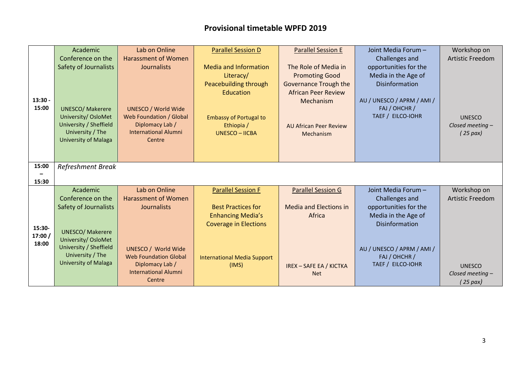|         | Academic                                        | Lab on Online                                  | <b>Parallel Session D</b>          | <b>Parallel Session E</b>      | Joint Media Forum -        | Workshop on             |
|---------|-------------------------------------------------|------------------------------------------------|------------------------------------|--------------------------------|----------------------------|-------------------------|
|         | Conference on the                               | <b>Harassment of Women</b>                     |                                    |                                | Challenges and             | <b>Artistic Freedom</b> |
|         | <b>Safety of Journalists</b>                    | Journalists                                    | <b>Media and Information</b>       | The Role of Media in           | opportunities for the      |                         |
|         |                                                 |                                                | Literacy/                          | <b>Promoting Good</b>          | Media in the Age of        |                         |
|         |                                                 |                                                | Peacebuilding through              | <b>Governance Trough the</b>   | Disinformation             |                         |
|         |                                                 |                                                | Education                          | <b>African Peer Review</b>     |                            |                         |
| 13:30 - |                                                 |                                                |                                    | Mechanism                      | AU / UNESCO / APRM / AMI / |                         |
| 15:00   | <b>UNESCO/ Makerere</b>                         | <b>UNESCO / World Wide</b>                     |                                    |                                | FAJ / OHCHR /              |                         |
|         | University/ OsloMet                             | <b>Web Foundation / Global</b>                 | <b>Embassy of Portugal to</b>      |                                | TAEF / EILCO-IOHR          | <b>UNESCO</b>           |
|         | University / Sheffield                          | Diplomacy Lab /                                | Ethiopia /                         | <b>AU African Peer Review</b>  |                            | Closed meeting -        |
|         | University / The<br><b>University of Malaga</b> | <b>International Alumni</b><br>Centre          | <b>UNESCO - IICBA</b>              | Mechanism                      |                            | $(25$ pax)              |
|         |                                                 |                                                |                                    |                                |                            |                         |
|         |                                                 |                                                |                                    |                                |                            |                         |
| 15:00   | <b>Refreshment Break</b>                        |                                                |                                    |                                |                            |                         |
|         |                                                 |                                                |                                    |                                |                            |                         |
| 15:30   |                                                 |                                                |                                    |                                |                            |                         |
|         | Academic                                        | Lab on Online                                  | <b>Parallel Session F</b>          | <b>Parallel Session G</b>      | Joint Media Forum -        | Workshop on             |
|         | Conference on the                               | <b>Harassment of Women</b>                     |                                    |                                | Challenges and             | <b>Artistic Freedom</b> |
|         | <b>Safety of Journalists</b>                    | Journalists                                    | <b>Best Practices for</b>          | <b>Media and Elections in</b>  | opportunities for the      |                         |
|         |                                                 |                                                | <b>Enhancing Media's</b>           | Africa                         | Media in the Age of        |                         |
| 15:30-  |                                                 |                                                | <b>Coverage in Elections</b>       |                                | <b>Disinformation</b>      |                         |
| 17:00 / | <b>UNESCO/ Makerere</b>                         |                                                |                                    |                                |                            |                         |
| 18:00   | University/ OsloMet                             |                                                |                                    |                                |                            |                         |
|         | University / Sheffield                          | <b>UNESCO / World Wide</b>                     |                                    |                                | AU / UNESCO / APRM / AMI / |                         |
|         | University / The<br><b>University of Malaga</b> | <b>Web Foundation Global</b>                   | <b>International Media Support</b> |                                | FAJ / OHCHR /              |                         |
|         |                                                 | Diplomacy Lab /<br><b>International Alumni</b> | (IMS)                              | <b>IREX - SAFE EA / KICTKA</b> | TAEF / EILCO-IOHR          | <b>UNESCO</b>           |
|         |                                                 | Centre                                         |                                    | <b>Net</b>                     |                            | Closed meeting -        |
|         |                                                 |                                                |                                    |                                |                            | ( 25 pax)               |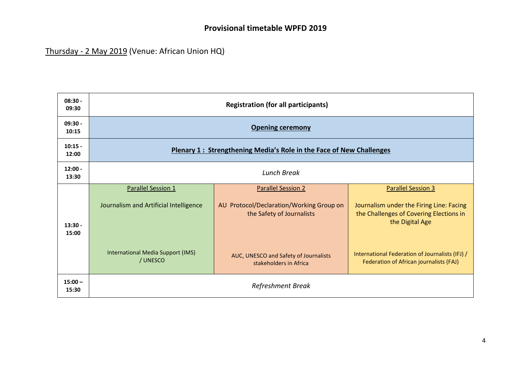# Thursday - 2 May 2019 (Venue: African Union HQ)

| $08:30 -$<br>09:30 | <b>Registration (for all participants)</b>                          |                                                                       |                                                                                                        |  |  |
|--------------------|---------------------------------------------------------------------|-----------------------------------------------------------------------|--------------------------------------------------------------------------------------------------------|--|--|
| $09:30 -$<br>10:15 | <b>Opening ceremony</b>                                             |                                                                       |                                                                                                        |  |  |
| $10:15 -$<br>12:00 | Plenary 1: Strengthening Media's Role in the Face of New Challenges |                                                                       |                                                                                                        |  |  |
| $12:00 -$<br>13:30 | <b>Lunch Break</b>                                                  |                                                                       |                                                                                                        |  |  |
|                    | Parallel Session 1                                                  | <b>Parallel Session 2</b>                                             | <b>Parallel Session 3</b>                                                                              |  |  |
| $13:30 -$<br>15:00 | Journalism and Artificial Intelligence                              | AU Protocol/Declaration/Working Group on<br>the Safety of Journalists | Journalism under the Firing Line: Facing<br>the Challenges of Covering Elections in<br>the Digital Age |  |  |
|                    | International Media Support (IMS)<br>/ UNESCO                       | AUC, UNESCO and Safety of Journalists<br>stakeholders in Africa       | International Federation of Journalists (IFJ) /<br>Federation of African journalists (FAJ)             |  |  |
| $15:00 -$<br>15:30 | Refreshment Break                                                   |                                                                       |                                                                                                        |  |  |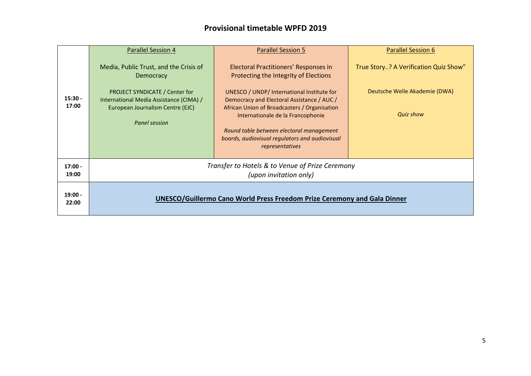|                    | <b>Parallel Session 4</b>                                                                                                      | <b>Parallel Session 5</b>                                                                                                                                                                                                                                                                      | <b>Parallel Session 6</b>                         |  |
|--------------------|--------------------------------------------------------------------------------------------------------------------------------|------------------------------------------------------------------------------------------------------------------------------------------------------------------------------------------------------------------------------------------------------------------------------------------------|---------------------------------------------------|--|
|                    | Media, Public Trust, and the Crisis of<br>Democracy                                                                            | Electoral Practitioners' Responses in<br>Protecting the Integrity of Elections                                                                                                                                                                                                                 | True Story? A Verification Quiz Show"             |  |
| $15:30 -$<br>17:00 | PROJECT SYNDICATE / Center for<br>International Media Assistance (CIMA) /<br>European Journalism Centre (EJC)<br>Panel session | UNESCO / UNDP/ International Institute for<br>Democracy and Electoral Assistance / AUC /<br>African Union of Broadcasters / Organisation<br>Internationale de la Francophonie<br>Round table between electoral management<br>boards, audiovisual regulators and audiovisual<br>representatives | Deutsche Welle Akademie (DWA)<br><b>Quiz show</b> |  |
| $17:00 -$<br>19:00 | Transfer to Hotels & to Venue of Prize Ceremony<br>(upon invitation only)                                                      |                                                                                                                                                                                                                                                                                                |                                                   |  |
| $19:00 -$<br>22:00 | UNESCO/Guillermo Cano World Press Freedom Prize Ceremony and Gala Dinner                                                       |                                                                                                                                                                                                                                                                                                |                                                   |  |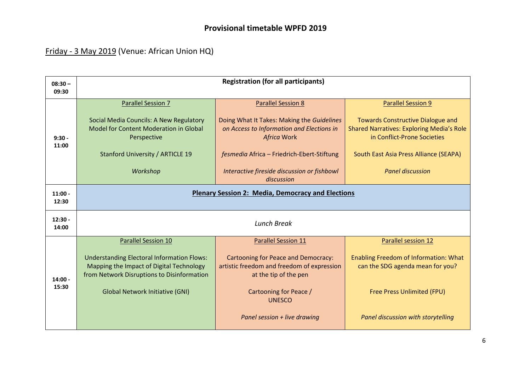# Friday - 3 May 2019 (Venue: African Union HQ)

| $08:30 -$          | <b>Registration (for all participants)</b><br>09:30                                                                                         |                                                                                                                   |                                                                                                                             |  |  |
|--------------------|---------------------------------------------------------------------------------------------------------------------------------------------|-------------------------------------------------------------------------------------------------------------------|-----------------------------------------------------------------------------------------------------------------------------|--|--|
|                    |                                                                                                                                             |                                                                                                                   |                                                                                                                             |  |  |
|                    | <b>Parallel Session 7</b>                                                                                                                   | <b>Parallel Session 8</b>                                                                                         | <b>Parallel Session 9</b>                                                                                                   |  |  |
| $9:30 -$<br>11:00  | Social Media Councils: A New Regulatory<br>Model for Content Moderation in Global<br>Perspective                                            | Doing What It Takes: Making the Guidelines<br>on Access to Information and Elections in<br><b>Africa Work</b>     | <b>Towards Constructive Dialogue and</b><br><b>Shared Narratives: Exploring Media's Role</b><br>in Conflict-Prone Societies |  |  |
|                    | Stanford University / ARTICLE 19                                                                                                            | fesmedia Africa - Friedrich-Ebert-Stiftung                                                                        | South East Asia Press Alliance (SEAPA)                                                                                      |  |  |
|                    | Workshop                                                                                                                                    | Interactive fireside discussion or fishbowl<br>discussion                                                         | <b>Panel discussion</b>                                                                                                     |  |  |
| $11:00 -$<br>12:30 | <b>Plenary Session 2: Media, Democracy and Elections</b>                                                                                    |                                                                                                                   |                                                                                                                             |  |  |
| $12:30 -$<br>14:00 | <b>Lunch Break</b>                                                                                                                          |                                                                                                                   |                                                                                                                             |  |  |
|                    | <b>Parallel Session 10</b>                                                                                                                  | <b>Parallel Session 11</b>                                                                                        | Parallel session 12                                                                                                         |  |  |
| $14:00 -$<br>15:30 | <b>Understanding Electoral Information Flows:</b><br>Mapping the Impact of Digital Technology<br>from Network Disruptions to Disinformation | <b>Cartooning for Peace and Democracy:</b><br>artistic freedom and freedom of expression<br>at the tip of the pen | <b>Enabling Freedom of Information: What</b><br>can the SDG agenda mean for you?                                            |  |  |
|                    | <b>Global Network Initiative (GNI)</b>                                                                                                      | Cartooning for Peace /<br><b>UNESCO</b>                                                                           | Free Press Unlimited (FPU)                                                                                                  |  |  |
|                    |                                                                                                                                             | Panel session + live drawing                                                                                      | Panel discussion with storytelling                                                                                          |  |  |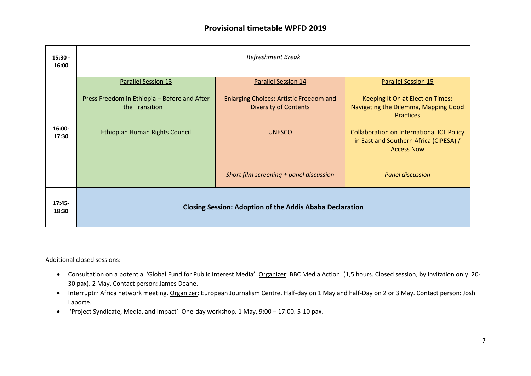| $15:30 -$<br>16:00 | Refreshment Break                                               |                                                                                |                                                                                                                 |  |  |
|--------------------|-----------------------------------------------------------------|--------------------------------------------------------------------------------|-----------------------------------------------------------------------------------------------------------------|--|--|
|                    | <b>Parallel Session 13</b>                                      | <b>Parallel Session 14</b>                                                     | <b>Parallel Session 15</b>                                                                                      |  |  |
|                    | Press Freedom in Ethiopia - Before and After<br>the Transition  | <b>Enlarging Choices: Artistic Freedom and</b><br><b>Diversity of Contents</b> | Keeping It On at Election Times:<br>Navigating the Dilemma, Mapping Good<br><b>Practices</b>                    |  |  |
| $16:00 -$<br>17:30 | Ethiopian Human Rights Council                                  | <b>UNESCO</b>                                                                  | <b>Collaboration on International ICT Policy</b><br>in East and Southern Africa (CIPESA) /<br><b>Access Now</b> |  |  |
|                    |                                                                 | Short film screening + panel discussion                                        | <b>Panel discussion</b>                                                                                         |  |  |
| $17:45-$<br>18:30  | <b>Closing Session: Adoption of the Addis Ababa Declaration</b> |                                                                                |                                                                                                                 |  |  |

Additional closed sessions:

- Consultation on a potential 'Global Fund for Public Interest Media'. Organizer: BBC Media Action. (1,5 hours. Closed session, by invitation only. 20- 30 pax). 2 May. Contact person: James Deane.
- Interruptrr Africa network meeting. Organizer: European Journalism Centre. Half-day on 1 May and half-Day on 2 or 3 May. Contact person: Josh Laporte.
- 'Project Syndicate, Media, and Impact'. One-day workshop. 1 May, 9:00 17:00. 5-10 pax.